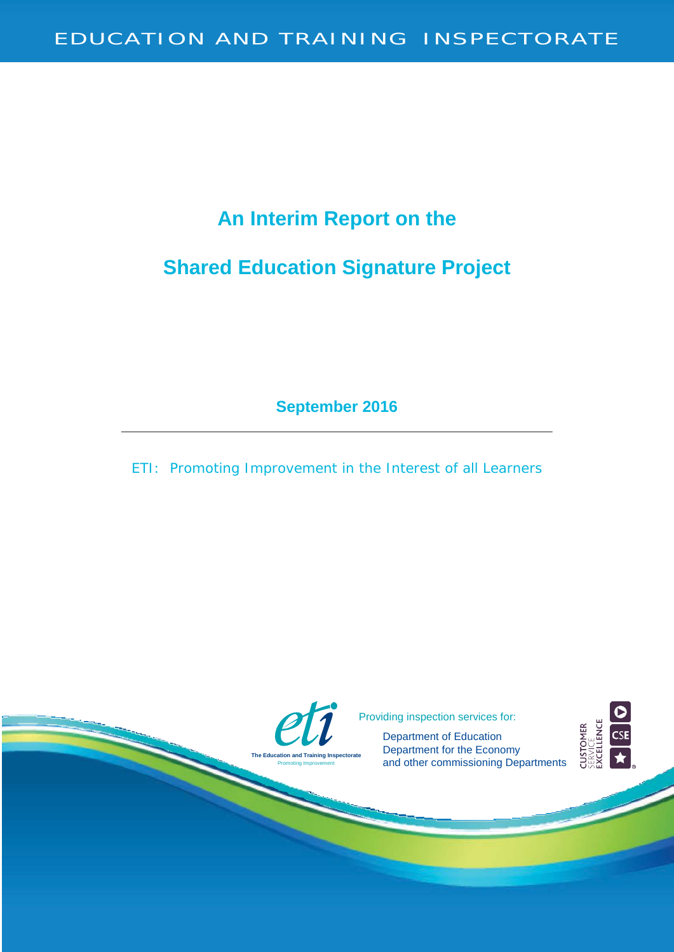### **An Interim Report on the**

### **Shared Education Signature Project**

**September 2016**

ETI: Promoting Improvement in the Interest of all Learners

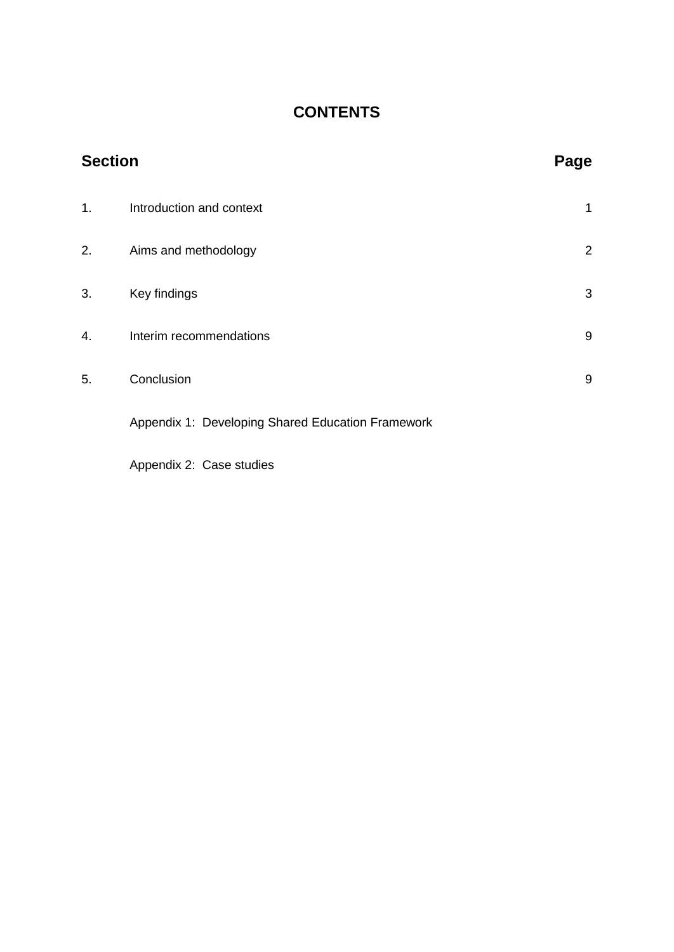### **CONTENTS**

| <b>Section</b> |                                                   |                |
|----------------|---------------------------------------------------|----------------|
| 1.             | Introduction and context                          | 1              |
| 2.             | Aims and methodology                              | $\overline{2}$ |
| 3.             | Key findings                                      | 3              |
| 4.             | Interim recommendations                           | 9              |
| 5.             | Conclusion                                        | 9              |
|                | Appendix 1: Developing Shared Education Framework |                |
|                |                                                   |                |

Appendix 2: Case studies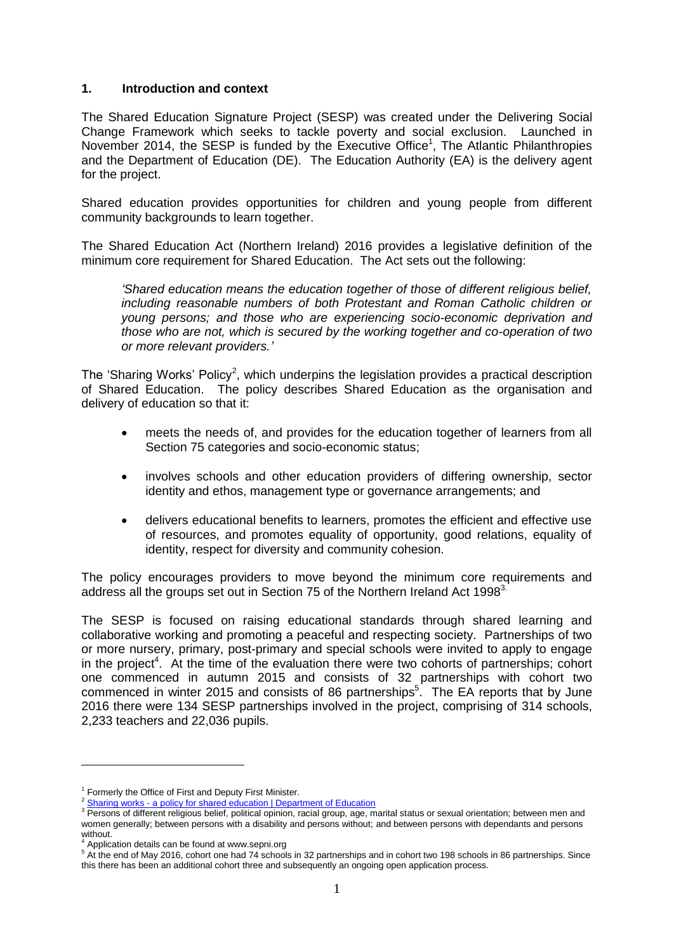#### **1. Introduction and context**

The Shared Education Signature Project (SESP) was created under the Delivering Social Change Framework which seeks to tackle poverty and social exclusion. Launched in November 2014, the SESP is funded by the Executive Office<sup>1</sup>, The Atlantic Philanthropies and the Department of Education (DE). The Education Authority (EA) is the delivery agent for the project.

Shared education provides opportunities for children and young people from different community backgrounds to learn together.

The Shared Education Act (Northern Ireland) 2016 provides a legislative definition of the minimum core requirement for Shared Education. The Act sets out the following:

*'Shared education means the education together of those of different religious belief, including reasonable numbers of both Protestant and Roman Catholic children or young persons; and those who are experiencing socio-economic deprivation and those who are not, which is secured by the working together and co-operation of two or more relevant providers.'*

The 'Sharing Works' Policy<sup>2</sup>, which underpins the legislation provides a practical description of Shared Education. The policy describes Shared Education as the organisation and delivery of education so that it:

- meets the needs of, and provides for the education together of learners from all Section 75 categories and socio-economic status;
- involves schools and other education providers of differing ownership, sector identity and ethos, management type or governance arrangements; and
- delivers educational benefits to learners, promotes the efficient and effective use of resources, and promotes equality of opportunity, good relations, equality of identity, respect for diversity and community cohesion.

The policy encourages providers to move beyond the minimum core requirements and address all the groups set out in Section 75 of the Northern Ireland Act 1998 $3$ .

The SESP is focused on raising educational standards through shared learning and collaborative working and promoting a peaceful and respecting society. Partnerships of two or more nursery, primary, post-primary and special schools were invited to apply to engage in the project<sup>4</sup>. At the time of the evaluation there were two cohorts of partnerships; cohort one commenced in autumn 2015 and consists of 32 partnerships with cohort two commenced in winter 2015 and consists of 86 partnerships<sup>5</sup>. The EA reports that by June 2016 there were 134 SESP partnerships involved in the project, comprising of 314 schools, 2,233 teachers and 22,036 pupils.

1

<sup>&</sup>lt;sup>1</sup> Formerly the Office of First and Deputy First Minister.

<sup>&</sup>lt;sup>2</sup> Sharing works - [a policy for shared education | Department of Education](https://www.education-ni.gov.uk/publications/sharing-works-policy-shared-education)

<sup>&</sup>lt;sup>3</sup> Persons of different religious belief, political opinion, racial group, age, marital status or sexual orientation; between men and women generally; between persons with a disability and persons without; and between persons with dependants and persons without.

Application details can be found at www.sepni.org

<sup>5</sup> At the end of May 2016, cohort one had 74 schools in 32 partnerships and in cohort two 198 schools in 86 partnerships. Since this there has been an additional cohort three and subsequently an ongoing open application process.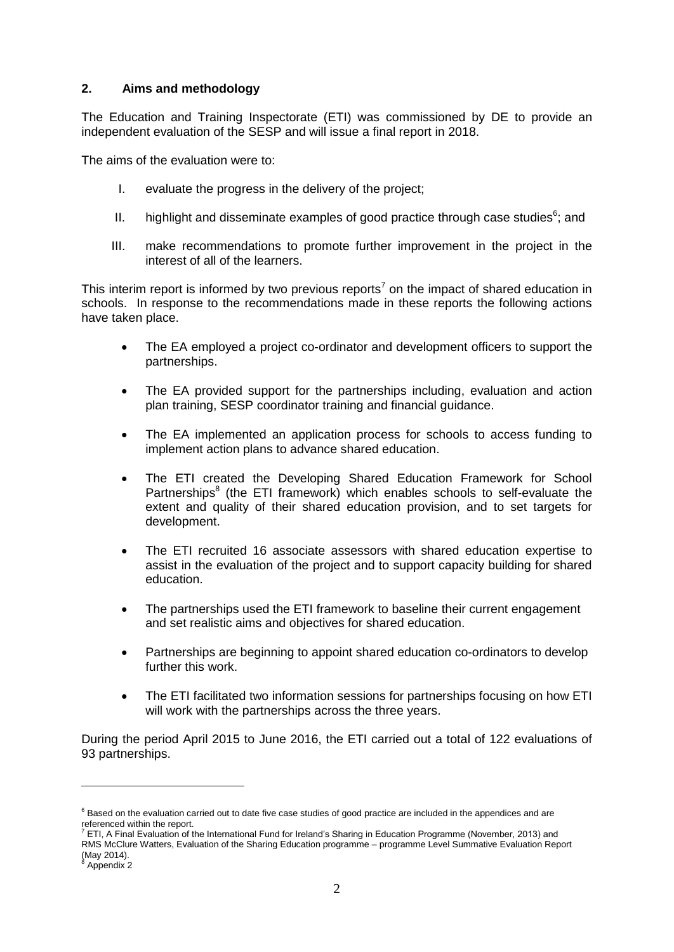#### **2. Aims and methodology**

The Education and Training Inspectorate (ETI) was commissioned by DE to provide an independent evaluation of the SESP and will issue a final report in 2018.

The aims of the evaluation were to:

- I. evaluate the progress in the delivery of the project;
- II. highlight and disseminate examples of good practice through case studies<sup>6</sup>; and
- III. make recommendations to promote further improvement in the project in the interest of all of the learners.

This interim report is informed by two previous reports<sup>7</sup> on the impact of shared education in schools. In response to the recommendations made in these reports the following actions have taken place.

- The EA employed a project co-ordinator and development officers to support the partnerships.
- The EA provided support for the partnerships including, evaluation and action plan training, SESP coordinator training and financial guidance.
- The EA implemented an application process for schools to access funding to implement action plans to advance shared education.
- The ETI created the Developing Shared Education Framework for School Partnerships<sup>8</sup> (the ETI framework) which enables schools to self-evaluate the extent and quality of their shared education provision, and to set targets for development.
- The ETI recruited 16 associate assessors with shared education expertise to assist in the evaluation of the project and to support capacity building for shared education.
- The partnerships used the ETI framework to baseline their current engagement and set realistic aims and objectives for shared education.
- Partnerships are beginning to appoint shared education co-ordinators to develop further this work.
- The ETI facilitated two information sessions for partnerships focusing on how ETI will work with the partnerships across the three years.

During the period April 2015 to June 2016, the ETI carried out a total of 122 evaluations of 93 partnerships.

1

 $6$  Based on the evaluation carried out to date five case studies of good practice are included in the appendices and are referenced within the report.

<sup>7</sup> ETI, A Final Evaluation of the International Fund for Ireland's Sharing in Education Programme (November, 2013) and RMS McClure Watters, Evaluation of the Sharing Education programme – programme Level Summative Evaluation Report (May 2014).

Appendix 2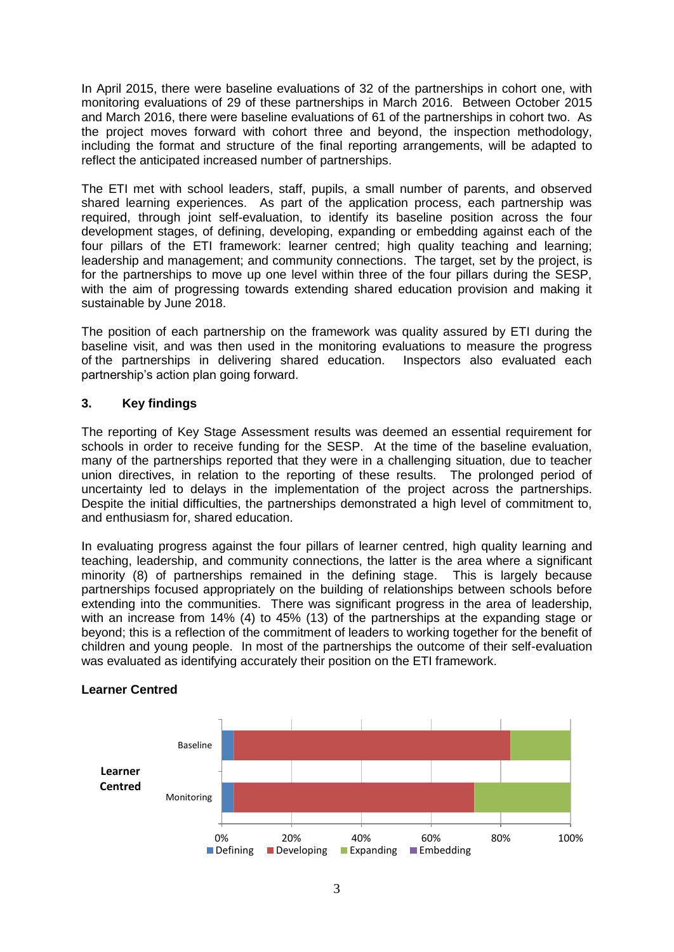In April 2015, there were baseline evaluations of 32 of the partnerships in cohort one, with monitoring evaluations of 29 of these partnerships in March 2016. Between October 2015 and March 2016, there were baseline evaluations of 61 of the partnerships in cohort two. As the project moves forward with cohort three and beyond, the inspection methodology, including the format and structure of the final reporting arrangements, will be adapted to reflect the anticipated increased number of partnerships.

The ETI met with school leaders, staff, pupils, a small number of parents, and observed shared learning experiences. As part of the application process, each partnership was required, through joint self-evaluation, to identify its baseline position across the four development stages, of defining, developing, expanding or embedding against each of the four pillars of the ETI framework: learner centred; high quality teaching and learning; leadership and management; and community connections. The target, set by the project, is for the partnerships to move up one level within three of the four pillars during the SESP, with the aim of progressing towards extending shared education provision and making it sustainable by June 2018.

The position of each partnership on the framework was quality assured by ETI during the baseline visit, and was then used in the monitoring evaluations to measure the progress of the partnerships in delivering shared education. Inspectors also evaluated each partnership's action plan going forward.

#### **3. Key findings**

The reporting of Key Stage Assessment results was deemed an essential requirement for schools in order to receive funding for the SESP. At the time of the baseline evaluation, many of the partnerships reported that they were in a challenging situation, due to teacher union directives, in relation to the reporting of these results. The prolonged period of uncertainty led to delays in the implementation of the project across the partnerships. Despite the initial difficulties, the partnerships demonstrated a high level of commitment to, and enthusiasm for, shared education.

In evaluating progress against the four pillars of learner centred, high quality learning and teaching, leadership, and community connections, the latter is the area where a significant minority (8) of partnerships remained in the defining stage. This is largely because partnerships focused appropriately on the building of relationships between schools before extending into the communities. There was significant progress in the area of leadership, with an increase from 14% (4) to 45% (13) of the partnerships at the expanding stage or beyond; this is a reflection of the commitment of leaders to working together for the benefit of children and young people. In most of the partnerships the outcome of their self-evaluation was evaluated as identifying accurately their position on the ETI framework.



#### **Learner Centred**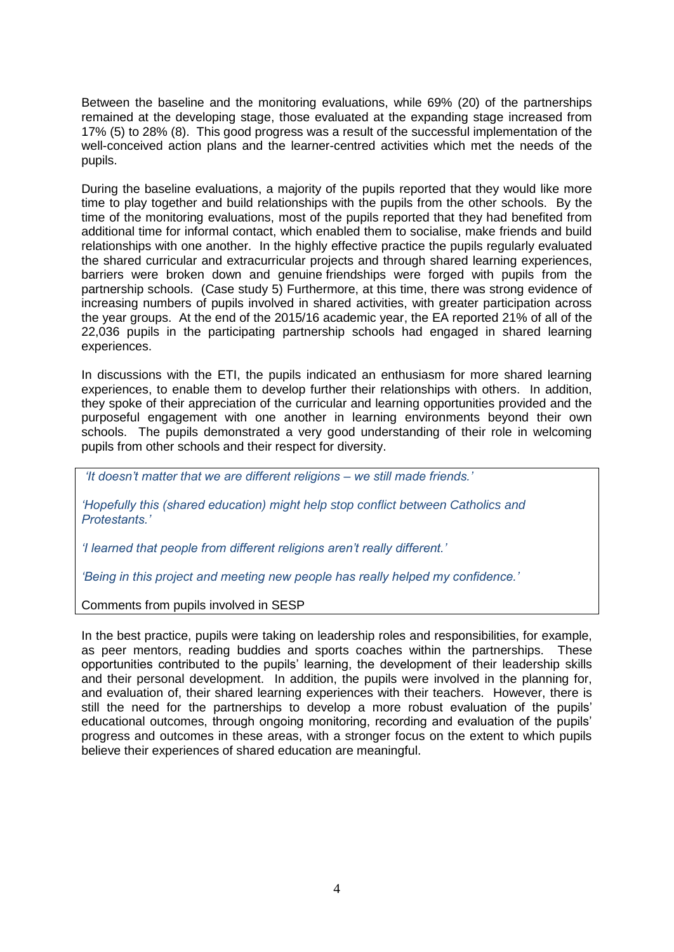Between the baseline and the monitoring evaluations, while 69% (20) of the partnerships remained at the developing stage, those evaluated at the expanding stage increased from 17% (5) to 28% (8). This good progress was a result of the successful implementation of the well-conceived action plans and the learner-centred activities which met the needs of the pupils.

During the baseline evaluations, a majority of the pupils reported that they would like more time to play together and build relationships with the pupils from the other schools. By the time of the monitoring evaluations, most of the pupils reported that they had benefited from additional time for informal contact, which enabled them to socialise, make friends and build relationships with one another. In the highly effective practice the pupils regularly evaluated the shared curricular and extracurricular projects and through shared learning experiences, barriers were broken down and genuine friendships were forged with pupils from the partnership schools. (Case study 5) Furthermore, at this time, there was strong evidence of increasing numbers of pupils involved in shared activities, with greater participation across the year groups. At the end of the 2015/16 academic year, the EA reported 21% of all of the 22,036 pupils in the participating partnership schools had engaged in shared learning experiences.

In discussions with the ETI, the pupils indicated an enthusiasm for more shared learning experiences, to enable them to develop further their relationships with others. In addition, they spoke of their appreciation of the curricular and learning opportunities provided and the purposeful engagement with one another in learning environments beyond their own schools. The pupils demonstrated a very good understanding of their role in welcoming pupils from other schools and their respect for diversity.

*'It doesn't matter that we are different religions – we still made friends.'*

*'Hopefully this (shared education) might help stop conflict between Catholics and Protestants.'*

*'I learned that people from different religions aren't really different.'*

*'Being in this project and meeting new people has really helped my confidence.'*

Comments from pupils involved in SESP

In the best practice, pupils were taking on leadership roles and responsibilities, for example, as peer mentors, reading buddies and sports coaches within the partnerships. These opportunities contributed to the pupils' learning, the development of their leadership skills and their personal development. In addition, the pupils were involved in the planning for, and evaluation of, their shared learning experiences with their teachers. However, there is still the need for the partnerships to develop a more robust evaluation of the pupils' educational outcomes, through ongoing monitoring, recording and evaluation of the pupils' progress and outcomes in these areas, with a stronger focus on the extent to which pupils believe their experiences of shared education are meaningful.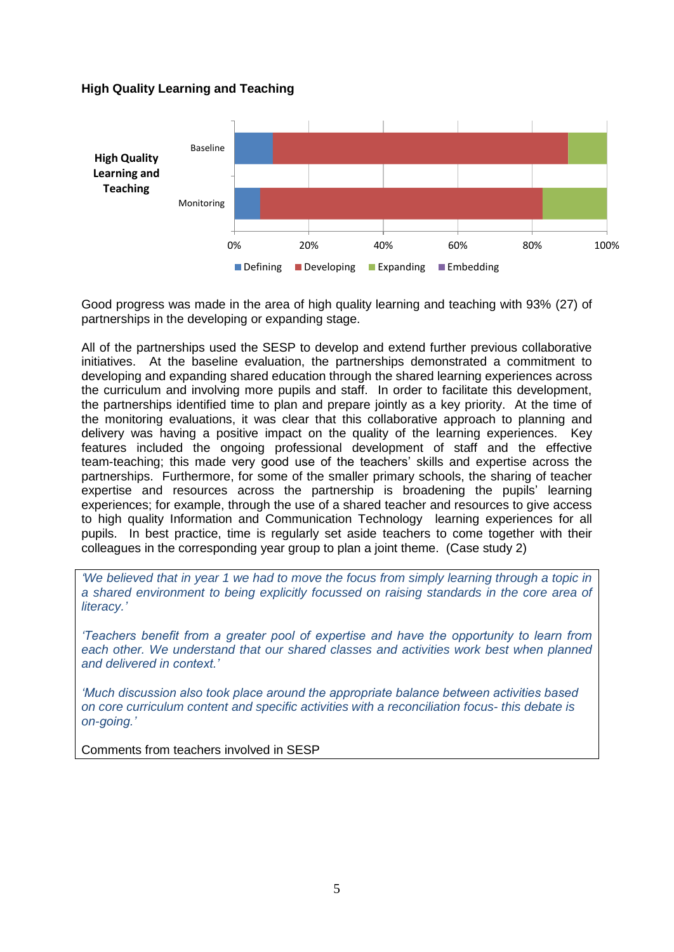#### **High Quality Learning and Teaching**



Good progress was made in the area of high quality learning and teaching with 93% (27) of partnerships in the developing or expanding stage.

All of the partnerships used the SESP to develop and extend further previous collaborative initiatives. At the baseline evaluation, the partnerships demonstrated a commitment to developing and expanding shared education through the shared learning experiences across the curriculum and involving more pupils and staff. In order to facilitate this development, the partnerships identified time to plan and prepare jointly as a key priority. At the time of the monitoring evaluations, it was clear that this collaborative approach to planning and delivery was having a positive impact on the quality of the learning experiences. Key features included the ongoing professional development of staff and the effective team-teaching; this made very good use of the teachers' skills and expertise across the partnerships. Furthermore, for some of the smaller primary schools, the sharing of teacher expertise and resources across the partnership is broadening the pupils' learning experiences; for example, through the use of a shared teacher and resources to give access to high quality Information and Communication Technology learning experiences for all pupils. In best practice, time is regularly set aside teachers to come together with their colleagues in the corresponding year group to plan a joint theme. (Case study 2)

*'We believed that in year 1 we had to move the focus from simply learning through a topic in a shared environment to being explicitly focussed on raising standards in the core area of literacy.'*

*'Teachers benefit from a greater pool of expertise and have the opportunity to learn from*  each other. We understand that our shared classes and activities work best when planned *and delivered in context.'*

*'Much discussion also took place around the appropriate balance between activities based on core curriculum content and specific activities with a reconciliation focus- this debate is on-going.'*

Comments from teachers involved in SESP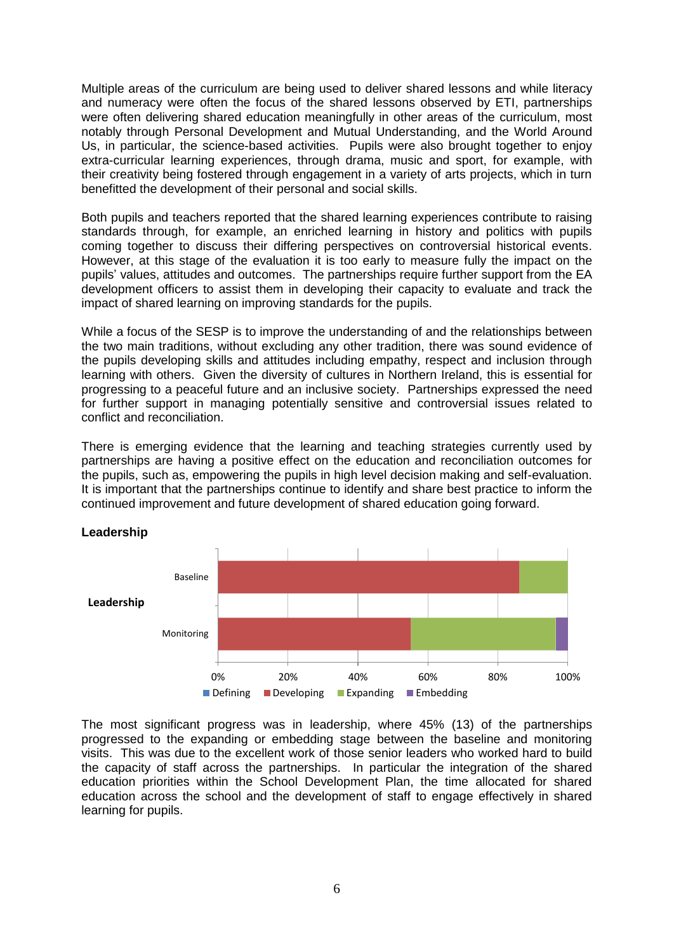Multiple areas of the curriculum are being used to deliver shared lessons and while literacy and numeracy were often the focus of the shared lessons observed by ETI, partnerships were often delivering shared education meaningfully in other areas of the curriculum, most notably through Personal Development and Mutual Understanding, and the World Around Us, in particular, the science-based activities. Pupils were also brought together to enjoy extra-curricular learning experiences, through drama, music and sport, for example, with their creativity being fostered through engagement in a variety of arts projects, which in turn benefitted the development of their personal and social skills.

Both pupils and teachers reported that the shared learning experiences contribute to raising standards through, for example, an enriched learning in history and politics with pupils coming together to discuss their differing perspectives on controversial historical events. However, at this stage of the evaluation it is too early to measure fully the impact on the pupils' values, attitudes and outcomes. The partnerships require further support from the EA development officers to assist them in developing their capacity to evaluate and track the impact of shared learning on improving standards for the pupils.

While a focus of the SESP is to improve the understanding of and the relationships between the two main traditions, without excluding any other tradition, there was sound evidence of the pupils developing skills and attitudes including empathy, respect and inclusion through learning with others. Given the diversity of cultures in Northern Ireland, this is essential for progressing to a peaceful future and an inclusive society. Partnerships expressed the need for further support in managing potentially sensitive and controversial issues related to conflict and reconciliation.

There is emerging evidence that the learning and teaching strategies currently used by partnerships are having a positive effect on the education and reconciliation outcomes for the pupils, such as, empowering the pupils in high level decision making and self-evaluation. It is important that the partnerships continue to identify and share best practice to inform the continued improvement and future development of shared education going forward.



#### **Leadership**

The most significant progress was in leadership, where 45% (13) of the partnerships progressed to the expanding or embedding stage between the baseline and monitoring visits. This was due to the excellent work of those senior leaders who worked hard to build the capacity of staff across the partnerships. In particular the integration of the shared education priorities within the School Development Plan, the time allocated for shared education across the school and the development of staff to engage effectively in shared learning for pupils.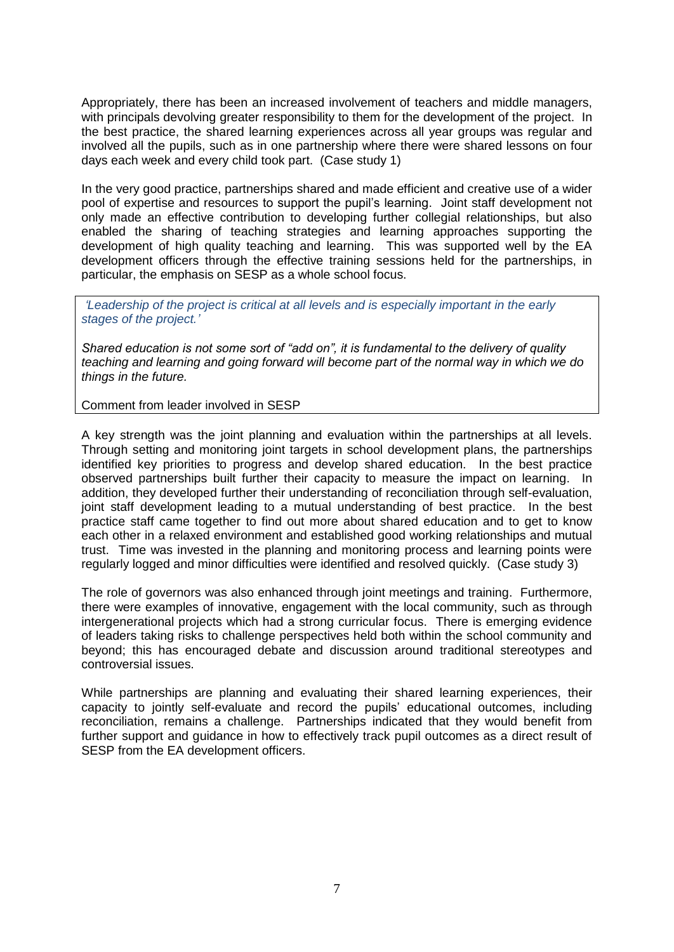Appropriately, there has been an increased involvement of teachers and middle managers, with principals devolving greater responsibility to them for the development of the project. In the best practice, the shared learning experiences across all year groups was regular and involved all the pupils, such as in one partnership where there were shared lessons on four days each week and every child took part. (Case study 1)

In the very good practice, partnerships shared and made efficient and creative use of a wider pool of expertise and resources to support the pupil's learning. Joint staff development not only made an effective contribution to developing further collegial relationships, but also enabled the sharing of teaching strategies and learning approaches supporting the development of high quality teaching and learning. This was supported well by the EA development officers through the effective training sessions held for the partnerships, in particular, the emphasis on SESP as a whole school focus.

*'Leadership of the project is critical at all levels and is especially important in the early stages of the project.'*

*Shared education is not some sort of "add on", it is fundamental to the delivery of quality teaching and learning and going forward will become part of the normal way in which we do things in the future.*

#### Comment from leader involved in SESP

A key strength was the joint planning and evaluation within the partnerships at all levels. Through setting and monitoring joint targets in school development plans, the partnerships identified key priorities to progress and develop shared education. In the best practice observed partnerships built further their capacity to measure the impact on learning. In addition, they developed further their understanding of reconciliation through self-evaluation, joint staff development leading to a mutual understanding of best practice. In the best practice staff came together to find out more about shared education and to get to know each other in a relaxed environment and established good working relationships and mutual trust. Time was invested in the planning and monitoring process and learning points were regularly logged and minor difficulties were identified and resolved quickly. (Case study 3)

The role of governors was also enhanced through joint meetings and training. Furthermore, there were examples of innovative, engagement with the local community, such as through intergenerational projects which had a strong curricular focus. There is emerging evidence of leaders taking risks to challenge perspectives held both within the school community and beyond; this has encouraged debate and discussion around traditional stereotypes and controversial issues.

While partnerships are planning and evaluating their shared learning experiences, their capacity to jointly self-evaluate and record the pupils' educational outcomes, including reconciliation, remains a challenge. Partnerships indicated that they would benefit from further support and guidance in how to effectively track pupil outcomes as a direct result of SESP from the EA development officers.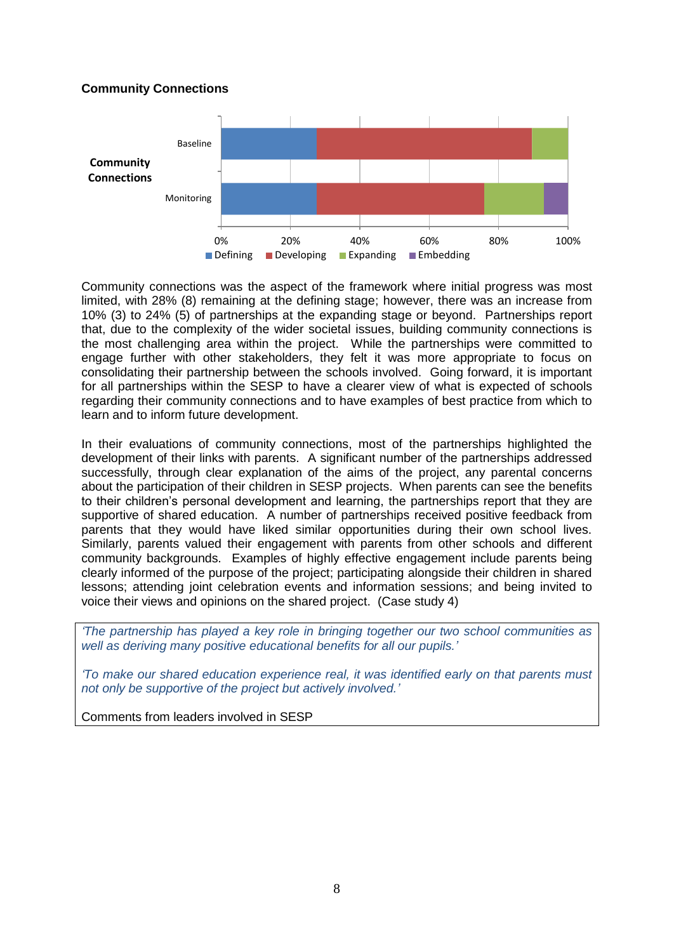#### **Community Connections**



Community connections was the aspect of the framework where initial progress was most limited, with 28% (8) remaining at the defining stage; however, there was an increase from 10% (3) to 24% (5) of partnerships at the expanding stage or beyond. Partnerships report that, due to the complexity of the wider societal issues, building community connections is the most challenging area within the project. While the partnerships were committed to engage further with other stakeholders, they felt it was more appropriate to focus on consolidating their partnership between the schools involved. Going forward, it is important for all partnerships within the SESP to have a clearer view of what is expected of schools regarding their community connections and to have examples of best practice from which to learn and to inform future development.

In their evaluations of community connections, most of the partnerships highlighted the development of their links with parents. A significant number of the partnerships addressed successfully, through clear explanation of the aims of the project, any parental concerns about the participation of their children in SESP projects. When parents can see the benefits to their children's personal development and learning, the partnerships report that they are supportive of shared education. A number of partnerships received positive feedback from parents that they would have liked similar opportunities during their own school lives. Similarly, parents valued their engagement with parents from other schools and different community backgrounds. Examples of highly effective engagement include parents being clearly informed of the purpose of the project; participating alongside their children in shared lessons; attending joint celebration events and information sessions; and being invited to voice their views and opinions on the shared project. (Case study 4)

*'The partnership has played a key role in bringing together our two school communities as well as deriving many positive educational benefits for all our pupils.'*

*'To make our shared education experience real, it was identified early on that parents must not only be supportive of the project but actively involved.'*

Comments from leaders involved in SESP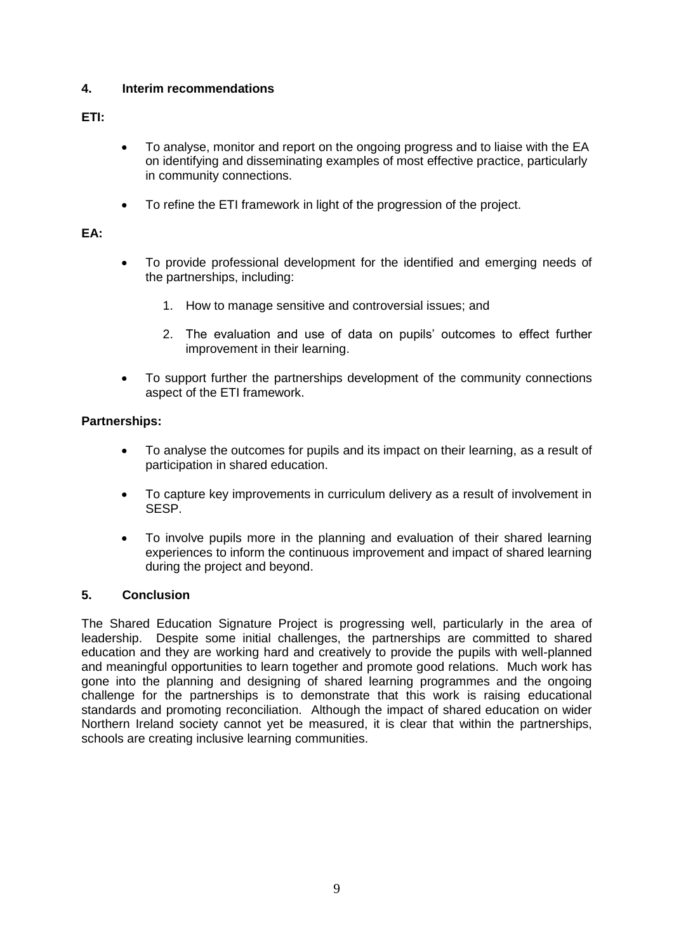#### **4. Interim recommendations**

#### **ETI:**

- To analyse, monitor and report on the ongoing progress and to liaise with the EA on identifying and disseminating examples of most effective practice, particularly in community connections.
- To refine the ETI framework in light of the progression of the project.

#### **EA:**

- To provide professional development for the identified and emerging needs of the partnerships, including:
	- 1. How to manage sensitive and controversial issues; and
	- 2. The evaluation and use of data on pupils' outcomes to effect further improvement in their learning.
- To support further the partnerships development of the community connections aspect of the ETI framework.

#### **Partnerships:**

- To analyse the outcomes for pupils and its impact on their learning, as a result of participation in shared education.
- To capture key improvements in curriculum delivery as a result of involvement in SESP.
- To involve pupils more in the planning and evaluation of their shared learning experiences to inform the continuous improvement and impact of shared learning during the project and beyond.

#### **5. Conclusion**

The Shared Education Signature Project is progressing well, particularly in the area of leadership. Despite some initial challenges, the partnerships are committed to shared education and they are working hard and creatively to provide the pupils with well-planned and meaningful opportunities to learn together and promote good relations. Much work has gone into the planning and designing of shared learning programmes and the ongoing challenge for the partnerships is to demonstrate that this work is raising educational standards and promoting reconciliation. Although the impact of shared education on wider Northern Ireland society cannot yet be measured, it is clear that within the partnerships, schools are creating inclusive learning communities.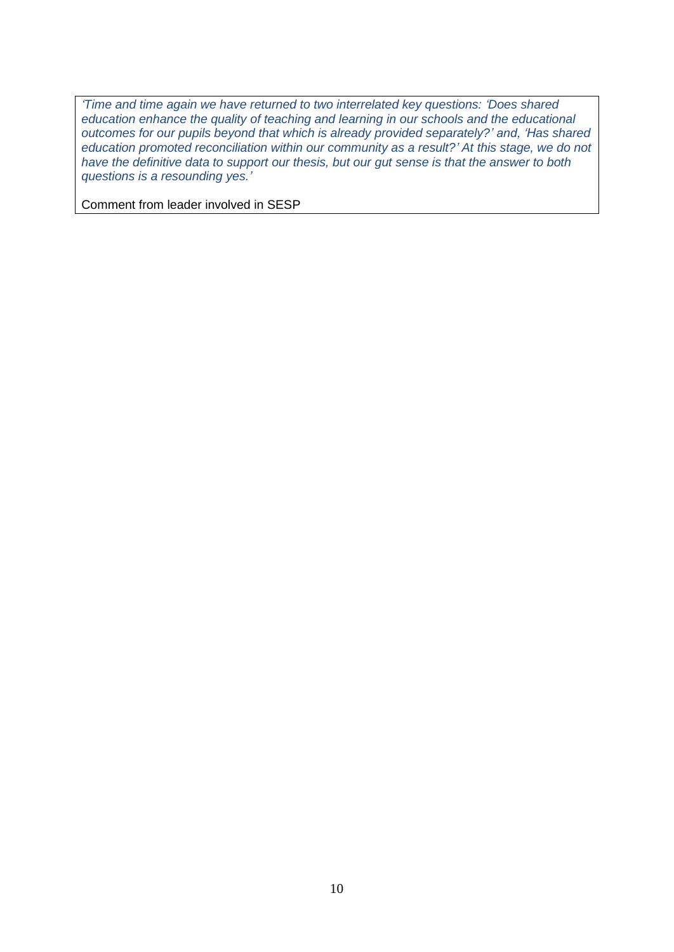*'Time and time again we have returned to two interrelated key questions: 'Does shared education enhance the quality of teaching and learning in our schools and the educational outcomes for our pupils beyond that which is already provided separately?' and, 'Has shared education promoted reconciliation within our community as a result?' At this stage, we do not have the definitive data to support our thesis, but our gut sense is that the answer to both questions is a resounding yes.'*

Comment from leader involved in SESP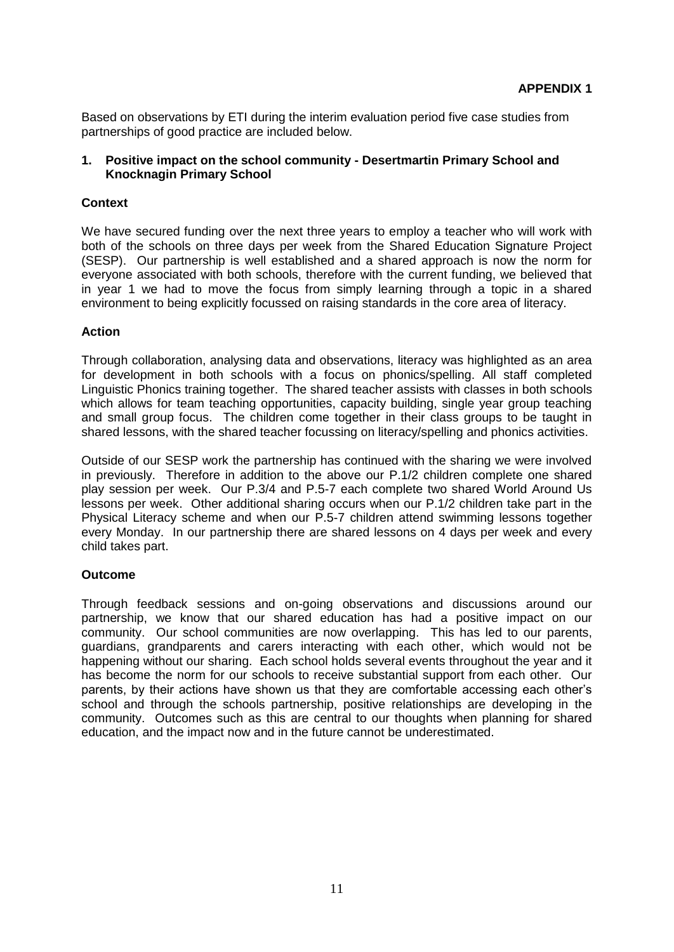Based on observations by ETI during the interim evaluation period five case studies from partnerships of good practice are included below.

#### **1. Positive impact on the school community - Desertmartin Primary School and Knocknagin Primary School**

#### **Context**

We have secured funding over the next three years to employ a teacher who will work with both of the schools on three days per week from the Shared Education Signature Project (SESP). Our partnership is well established and a shared approach is now the norm for everyone associated with both schools, therefore with the current funding, we believed that in year 1 we had to move the focus from simply learning through a topic in a shared environment to being explicitly focussed on raising standards in the core area of literacy.

#### **Action**

Through collaboration, analysing data and observations, literacy was highlighted as an area for development in both schools with a focus on phonics/spelling. All staff completed Linguistic Phonics training together. The shared teacher assists with classes in both schools which allows for team teaching opportunities, capacity building, single year group teaching and small group focus. The children come together in their class groups to be taught in shared lessons, with the shared teacher focussing on literacy/spelling and phonics activities.

Outside of our SESP work the partnership has continued with the sharing we were involved in previously. Therefore in addition to the above our P.1/2 children complete one shared play session per week. Our P.3/4 and P.5-7 each complete two shared World Around Us lessons per week. Other additional sharing occurs when our P.1/2 children take part in the Physical Literacy scheme and when our P.5-7 children attend swimming lessons together every Monday. In our partnership there are shared lessons on 4 days per week and every child takes part.

#### **Outcome**

Through feedback sessions and on-going observations and discussions around our partnership, we know that our shared education has had a positive impact on our community. Our school communities are now overlapping. This has led to our parents, guardians, grandparents and carers interacting with each other, which would not be happening without our sharing. Each school holds several events throughout the year and it has become the norm for our schools to receive substantial support from each other. Our parents, by their actions have shown us that they are comfortable accessing each other's school and through the schools partnership, positive relationships are developing in the community. Outcomes such as this are central to our thoughts when planning for shared education, and the impact now and in the future cannot be underestimated.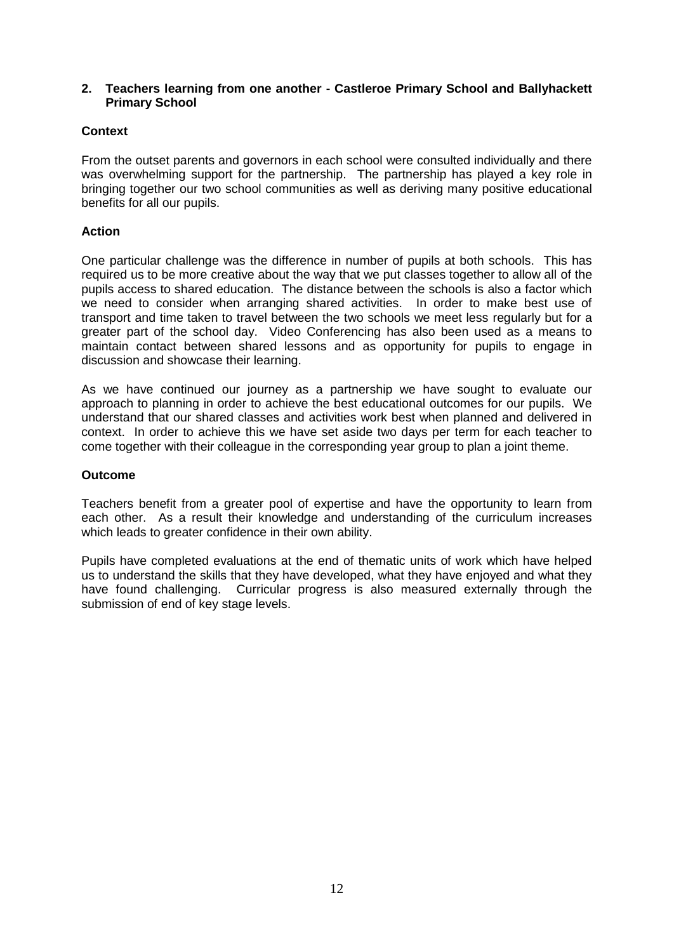#### **2. Teachers learning from one another - Castleroe Primary School and Ballyhackett Primary School**

#### **Context**

From the outset parents and governors in each school were consulted individually and there was overwhelming support for the partnership. The partnership has played a key role in bringing together our two school communities as well as deriving many positive educational benefits for all our pupils.

#### **Action**

One particular challenge was the difference in number of pupils at both schools. This has required us to be more creative about the way that we put classes together to allow all of the pupils access to shared education. The distance between the schools is also a factor which we need to consider when arranging shared activities. In order to make best use of transport and time taken to travel between the two schools we meet less regularly but for a greater part of the school day. Video Conferencing has also been used as a means to maintain contact between shared lessons and as opportunity for pupils to engage in discussion and showcase their learning.

As we have continued our journey as a partnership we have sought to evaluate our approach to planning in order to achieve the best educational outcomes for our pupils. We understand that our shared classes and activities work best when planned and delivered in context. In order to achieve this we have set aside two days per term for each teacher to come together with their colleague in the corresponding year group to plan a joint theme.

#### **Outcome**

Teachers benefit from a greater pool of expertise and have the opportunity to learn from each other. As a result their knowledge and understanding of the curriculum increases which leads to greater confidence in their own ability.

Pupils have completed evaluations at the end of thematic units of work which have helped us to understand the skills that they have developed, what they have enjoyed and what they have found challenging. Curricular progress is also measured externally through the submission of end of key stage levels.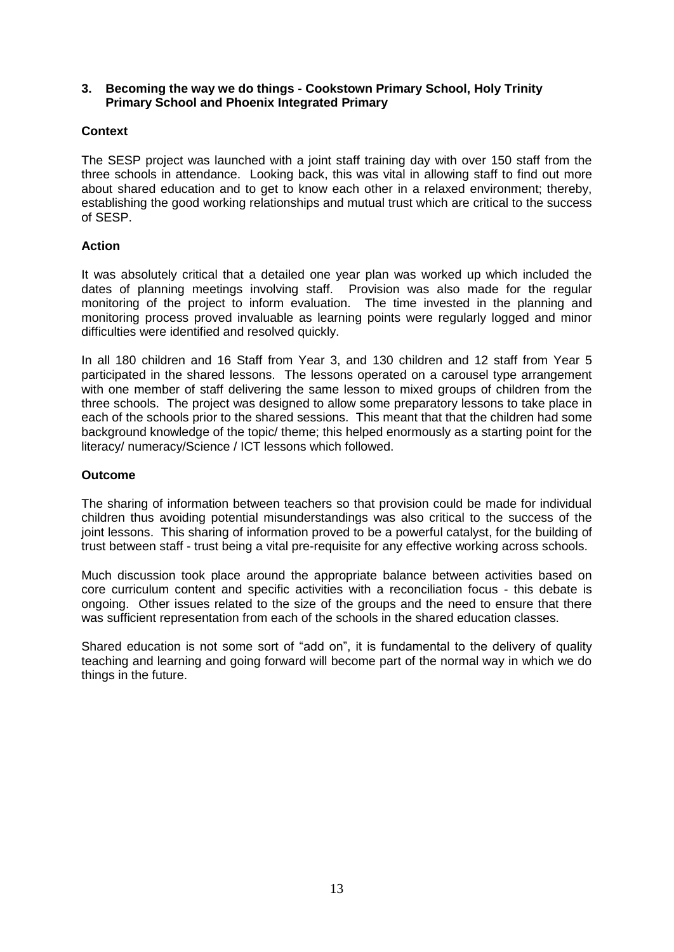#### **3. Becoming the way we do things - Cookstown Primary School, Holy Trinity Primary School and Phoenix Integrated Primary**

#### **Context**

The SESP project was launched with a joint staff training day with over 150 staff from the three schools in attendance. Looking back, this was vital in allowing staff to find out more about shared education and to get to know each other in a relaxed environment; thereby, establishing the good working relationships and mutual trust which are critical to the success of SESP.

#### **Action**

It was absolutely critical that a detailed one year plan was worked up which included the dates of planning meetings involving staff. Provision was also made for the regular monitoring of the project to inform evaluation. The time invested in the planning and monitoring process proved invaluable as learning points were regularly logged and minor difficulties were identified and resolved quickly.

In all 180 children and 16 Staff from Year 3, and 130 children and 12 staff from Year 5 participated in the shared lessons. The lessons operated on a carousel type arrangement with one member of staff delivering the same lesson to mixed groups of children from the three schools. The project was designed to allow some preparatory lessons to take place in each of the schools prior to the shared sessions. This meant that that the children had some background knowledge of the topic/ theme; this helped enormously as a starting point for the literacy/ numeracy/Science / ICT lessons which followed.

#### **Outcome**

The sharing of information between teachers so that provision could be made for individual children thus avoiding potential misunderstandings was also critical to the success of the joint lessons. This sharing of information proved to be a powerful catalyst, for the building of trust between staff - trust being a vital pre-requisite for any effective working across schools.

Much discussion took place around the appropriate balance between activities based on core curriculum content and specific activities with a reconciliation focus - this debate is ongoing. Other issues related to the size of the groups and the need to ensure that there was sufficient representation from each of the schools in the shared education classes.

Shared education is not some sort of "add on", it is fundamental to the delivery of quality teaching and learning and going forward will become part of the normal way in which we do things in the future.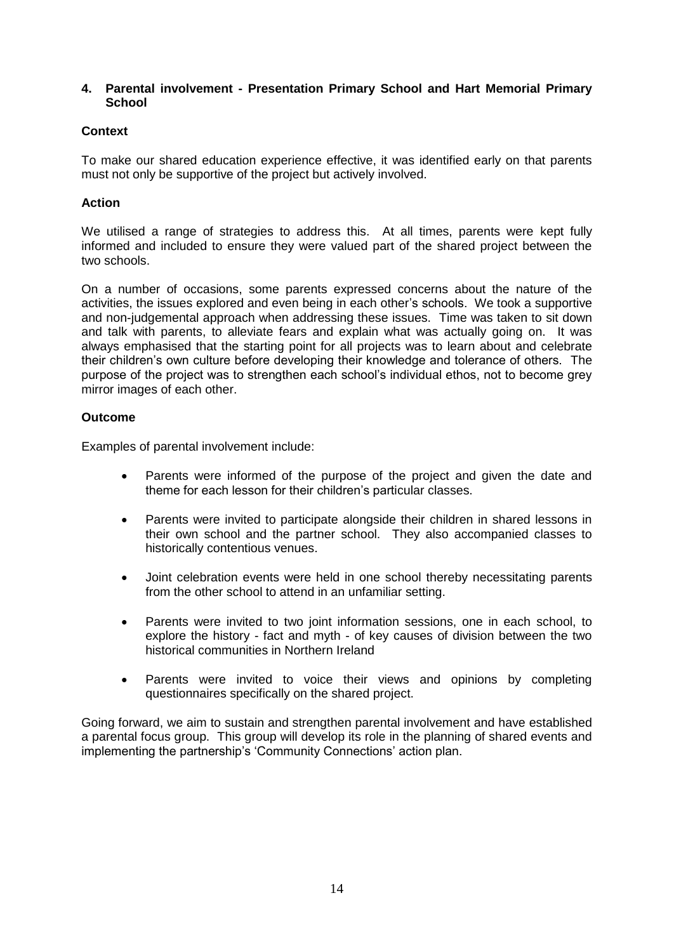#### **4. Parental involvement - Presentation Primary School and Hart Memorial Primary School**

#### **Context**

To make our shared education experience effective, it was identified early on that parents must not only be supportive of the project but actively involved.

#### **Action**

We utilised a range of strategies to address this. At all times, parents were kept fully informed and included to ensure they were valued part of the shared project between the two schools.

On a number of occasions, some parents expressed concerns about the nature of the activities, the issues explored and even being in each other's schools. We took a supportive and non-judgemental approach when addressing these issues. Time was taken to sit down and talk with parents, to alleviate fears and explain what was actually going on. It was always emphasised that the starting point for all projects was to learn about and celebrate their children's own culture before developing their knowledge and tolerance of others. The purpose of the project was to strengthen each school's individual ethos, not to become grey mirror images of each other.

#### **Outcome**

Examples of parental involvement include:

- Parents were informed of the purpose of the project and given the date and theme for each lesson for their children's particular classes.
- Parents were invited to participate alongside their children in shared lessons in their own school and the partner school. They also accompanied classes to historically contentious venues.
- Joint celebration events were held in one school thereby necessitating parents from the other school to attend in an unfamiliar setting.
- Parents were invited to two joint information sessions, one in each school, to explore the history - fact and myth - of key causes of division between the two historical communities in Northern Ireland
- Parents were invited to voice their views and opinions by completing questionnaires specifically on the shared project.

Going forward, we aim to sustain and strengthen parental involvement and have established a parental focus group. This group will develop its role in the planning of shared events and implementing the partnership's 'Community Connections' action plan.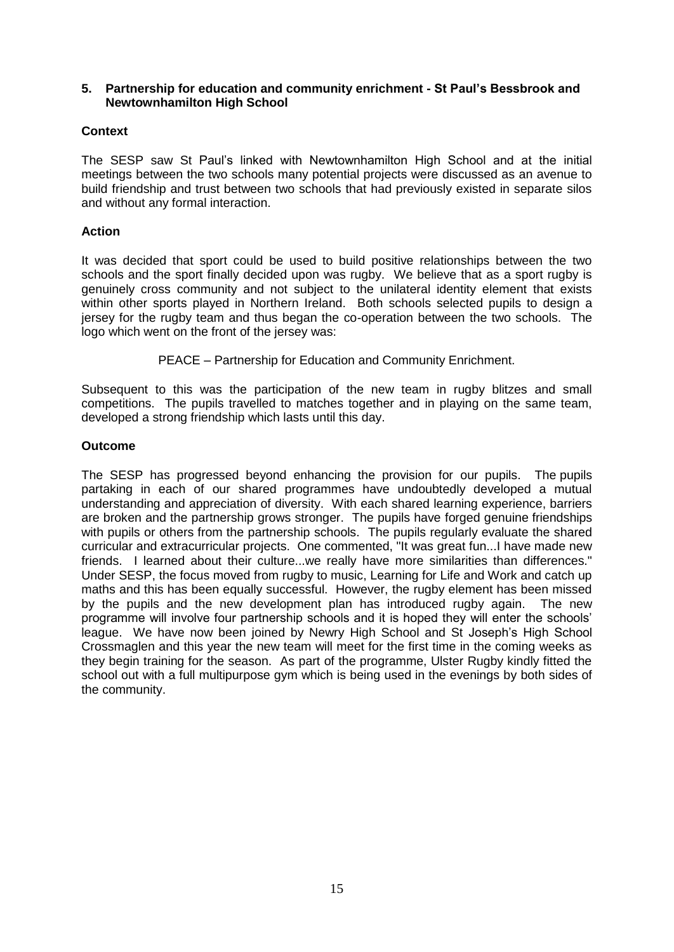#### **5. Partnership for education and community enrichment - St Paul's Bessbrook and Newtownhamilton High School**

#### **Context**

The SESP saw St Paul's linked with Newtownhamilton High School and at the initial meetings between the two schools many potential projects were discussed as an avenue to build friendship and trust between two schools that had previously existed in separate silos and without any formal interaction.

#### **Action**

It was decided that sport could be used to build positive relationships between the two schools and the sport finally decided upon was rugby. We believe that as a sport rugby is genuinely cross community and not subject to the unilateral identity element that exists within other sports played in Northern Ireland. Both schools selected pupils to design a jersey for the rugby team and thus began the co-operation between the two schools. The logo which went on the front of the jersey was:

PEACE – Partnership for Education and Community Enrichment.

Subsequent to this was the participation of the new team in rugby blitzes and small competitions. The pupils travelled to matches together and in playing on the same team, developed a strong friendship which lasts until this day.

#### **Outcome**

The SESP has progressed beyond enhancing the provision for our pupils. The pupils partaking in each of our shared programmes have undoubtedly developed a mutual understanding and appreciation of diversity. With each shared learning experience, barriers are broken and the partnership grows stronger. The pupils have forged genuine friendships with pupils or others from the partnership schools. The pupils regularly evaluate the shared curricular and extracurricular projects. One commented, "It was great fun...I have made new friends. I learned about their culture...we really have more similarities than differences." Under SESP, the focus moved from rugby to music, Learning for Life and Work and catch up maths and this has been equally successful. However, the rugby element has been missed by the pupils and the new development plan has introduced rugby again. The new programme will involve four partnership schools and it is hoped they will enter the schools' league. We have now been joined by Newry High School and St Joseph's High School Crossmaglen and this year the new team will meet for the first time in the coming weeks as they begin training for the season. As part of the programme, Ulster Rugby kindly fitted the school out with a full multipurpose gym which is being used in the evenings by both sides of the community.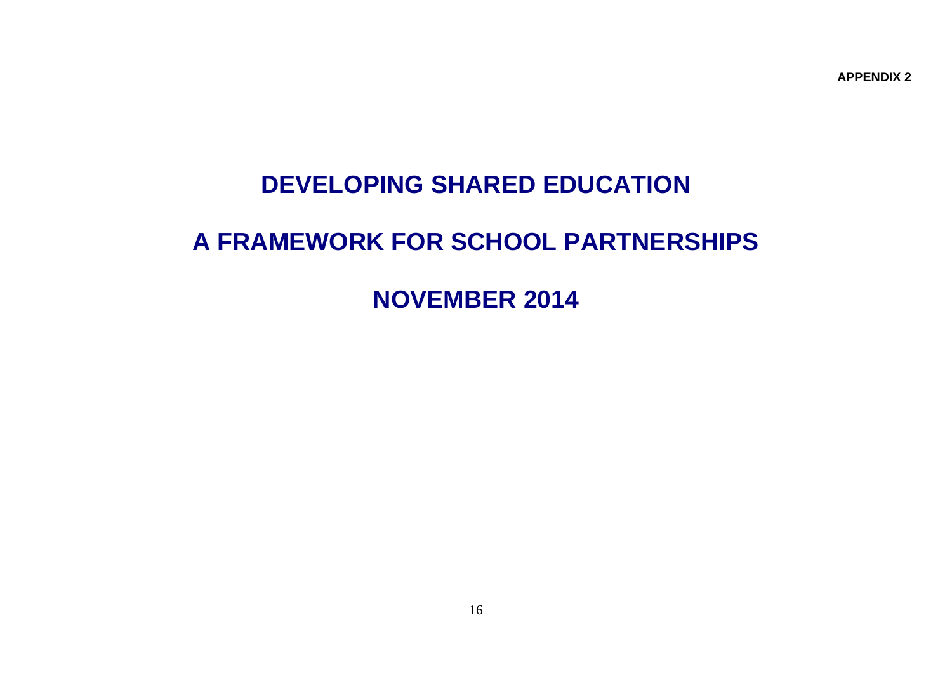**APPENDIX 2**

# **DEVELOPING SHARED EDUCATION**

# **A FRAMEWORK FOR SCHOOL PARTNERSHIPS**

**NOVEMBER 2014**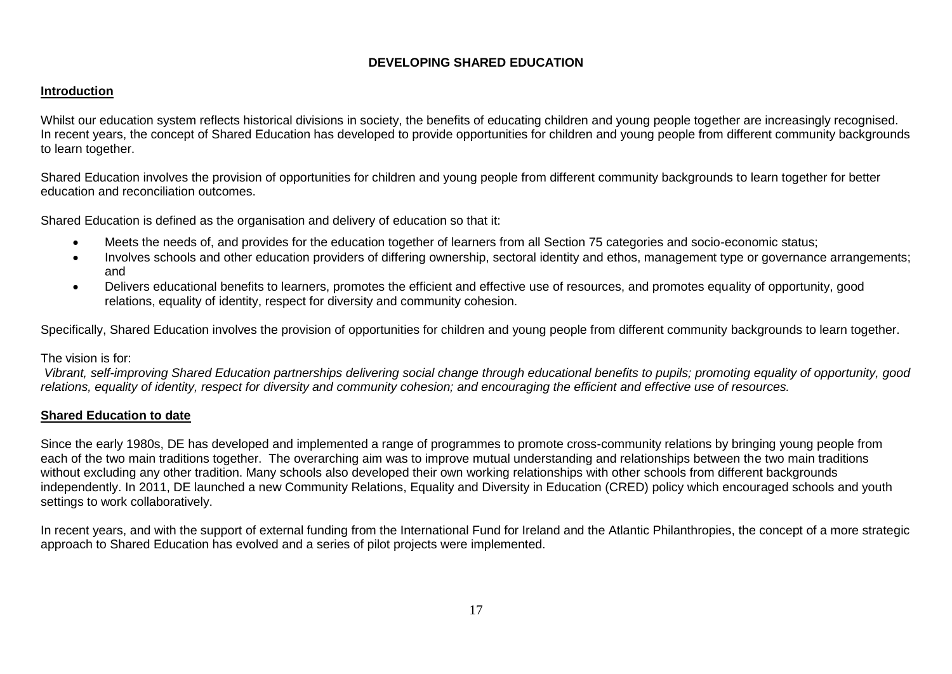#### **DEVELOPING SHARED EDUCATION**

#### **Introduction**

Whilst our education system reflects historical divisions in society, the benefits of educating children and young people together are increasingly recognised. In recent years, the concept of Shared Education has developed to provide opportunities for children and young people from different community backgrounds to learn together.

Shared Education involves the provision of opportunities for children and young people from different community backgrounds to learn together for better education and reconciliation outcomes.

Shared Education is defined as the organisation and delivery of education so that it:

- Meets the needs of, and provides for the education together of learners from all Section 75 categories and socio-economic status;
- Involves schools and other education providers of differing ownership, sectoral identity and ethos, management type or governance arrangements; and
- Delivers educational benefits to learners, promotes the efficient and effective use of resources, and promotes equality of opportunity, good relations, equality of identity, respect for diversity and community cohesion.

Specifically, Shared Education involves the provision of opportunities for children and young people from different community backgrounds to learn together.

#### The vision is for:

*Vibrant, self-improving Shared Education partnerships delivering social change through educational benefits to pupils; promoting equality of opportunity, good relations, equality of identity, respect for diversity and community cohesion; and encouraging the efficient and effective use of resources.*

#### **Shared Education to date**

Since the early 1980s, DE has developed and implemented a range of programmes to promote cross-community relations by bringing young people from each of the two main traditions together. The overarching aim was to improve mutual understanding and relationships between the two main traditions without excluding any other tradition. Many schools also developed their own working relationships with other schools from different backgrounds independently. In 2011, DE launched a new Community Relations, Equality and Diversity in Education (CRED) policy which encouraged schools and youth settings to work collaboratively.

In recent years, and with the support of external funding from the International Fund for Ireland and the Atlantic Philanthropies, the concept of a more strategic approach to Shared Education has evolved and a series of pilot projects were implemented.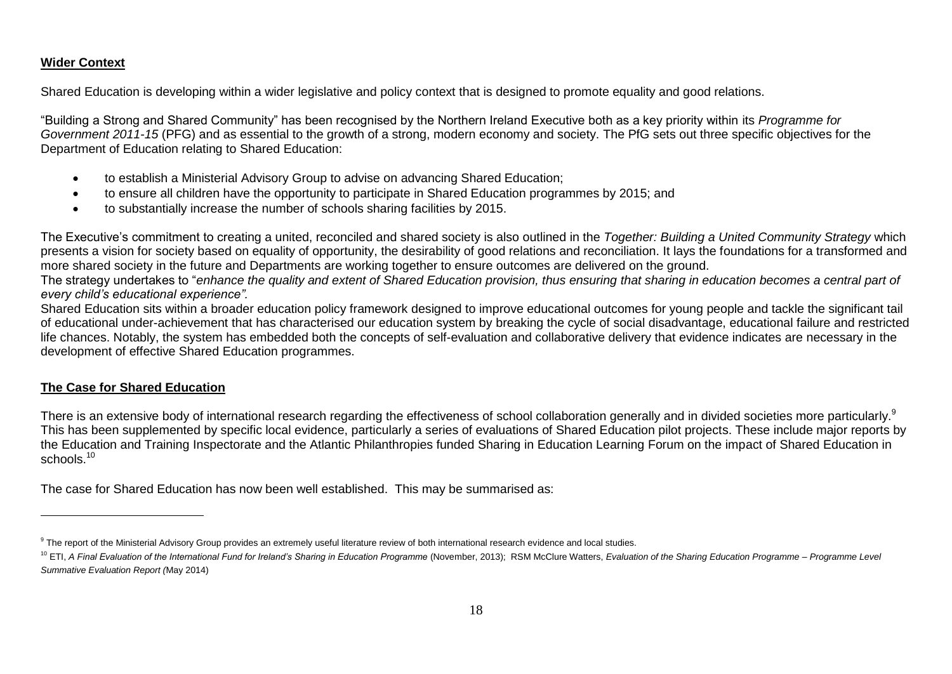#### **Wider Context**

Shared Education is developing within a wider legislative and policy context that is designed to promote equality and good relations.

"Building a Strong and Shared Community" has been recognised by the Northern Ireland Executive both as a key priority within its *Programme for Government 2011-15* (PFG) and as essential to the growth of a strong, modern economy and society. The PfG sets out three specific objectives for the Department of Education relating to Shared Education:

- to establish a Ministerial Advisory Group to advise on advancing Shared Education;
- to ensure all children have the opportunity to participate in Shared Education programmes by 2015; and
- to substantially increase the number of schools sharing facilities by 2015.

The Executive's commitment to creating a united, reconciled and shared society is also outlined in the *Together: Building a United Community Strategy* which presents a vision for society based on equality of opportunity, the desirability of good relations and reconciliation. It lays the foundations for a transformed and more shared society in the future and Departments are working together to ensure outcomes are delivered on the ground.

The strategy undertakes to "*enhance the quality and extent of Shared Education provision, thus ensuring that sharing in education becomes a central part of every child's educational experience".*

Shared Education sits within a broader education policy framework designed to improve educational outcomes for young people and tackle the significant tail of educational under-achievement that has characterised our education system by breaking the cycle of social disadvantage, educational failure and restricted life chances. Notably, the system has embedded both the concepts of self-evaluation and collaborative delivery that evidence indicates are necessary in the development of effective Shared Education programmes.

#### **The Case for Shared Education**

1

There is an extensive body of international research regarding the effectiveness of school collaboration generally and in divided societies more particularly.<sup>9</sup> This has been supplemented by specific local evidence, particularly a series of evaluations of Shared Education pilot projects. These include major reports by the Education and Training Inspectorate and the Atlantic Philanthropies funded Sharing in Education Learning Forum on the impact of Shared Education in schools.<sup>10</sup>

The case for Shared Education has now been well established. This may be summarised as:

<sup>&</sup>lt;sup>9</sup> The report of the Ministerial Advisory Group provides an extremely useful literature review of both international research evidence and local studies.

<sup>10</sup> ETI, *A Final Evaluation of the International Fund for Ireland's Sharing in Education Programme* (November, 2013); RSM McClure Watters, *Evaluation of the Sharing Education Programme – Programme Level Summative Evaluation Report (*May 2014)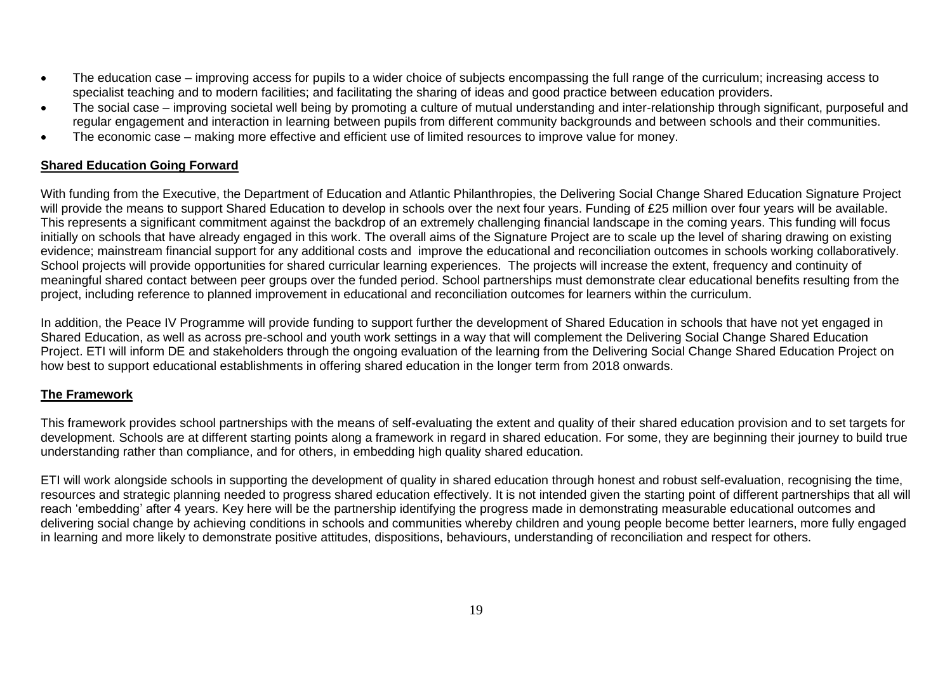- The education case improving access for pupils to a wider choice of subjects encompassing the full range of the curriculum; increasing access to specialist teaching and to modern facilities; and facilitating the sharing of ideas and good practice between education providers.
- The social case improving societal well being by promoting a culture of mutual understanding and inter-relationship through significant, purposeful and regular engagement and interaction in learning between pupils from different community backgrounds and between schools and their communities.
- The economic case making more effective and efficient use of limited resources to improve value for money.

#### **Shared Education Going Forward**

With funding from the Executive, the Department of Education and Atlantic Philanthropies, the Delivering Social Change Shared Education Signature Project will provide the means to support Shared Education to develop in schools over the next four years. Funding of £25 million over four years will be available. This represents a significant commitment against the backdrop of an extremely challenging financial landscape in the coming years. This funding will focus initially on schools that have already engaged in this work. The overall aims of the Signature Project are to scale up the level of sharing drawing on existing evidence; mainstream financial support for any additional costs and improve the educational and reconciliation outcomes in schools working collaboratively. School projects will provide opportunities for shared curricular learning experiences. The projects will increase the extent, frequency and continuity of meaningful shared contact between peer groups over the funded period. School partnerships must demonstrate clear educational benefits resulting from the project, including reference to planned improvement in educational and reconciliation outcomes for learners within the curriculum.

In addition, the Peace IV Programme will provide funding to support further the development of Shared Education in schools that have not yet engaged in Shared Education, as well as across pre-school and youth work settings in a way that will complement the Delivering Social Change Shared Education Project. ETI will inform DE and stakeholders through the ongoing evaluation of the learning from the Delivering Social Change Shared Education Project on how best to support educational establishments in offering shared education in the longer term from 2018 onwards.

#### **The Framework**

This framework provides school partnerships with the means of self-evaluating the extent and quality of their shared education provision and to set targets for development. Schools are at different starting points along a framework in regard in shared education. For some, they are beginning their journey to build true understanding rather than compliance, and for others, in embedding high quality shared education.

ETI will work alongside schools in supporting the development of quality in shared education through honest and robust self-evaluation, recognising the time, resources and strategic planning needed to progress shared education effectively. It is not intended given the starting point of different partnerships that all will reach 'embedding' after 4 years. Key here will be the partnership identifying the progress made in demonstrating measurable educational outcomes and delivering social change by achieving conditions in schools and communities whereby children and young people become better learners, more fully engaged in learning and more likely to demonstrate positive attitudes, dispositions, behaviours, understanding of reconciliation and respect for others.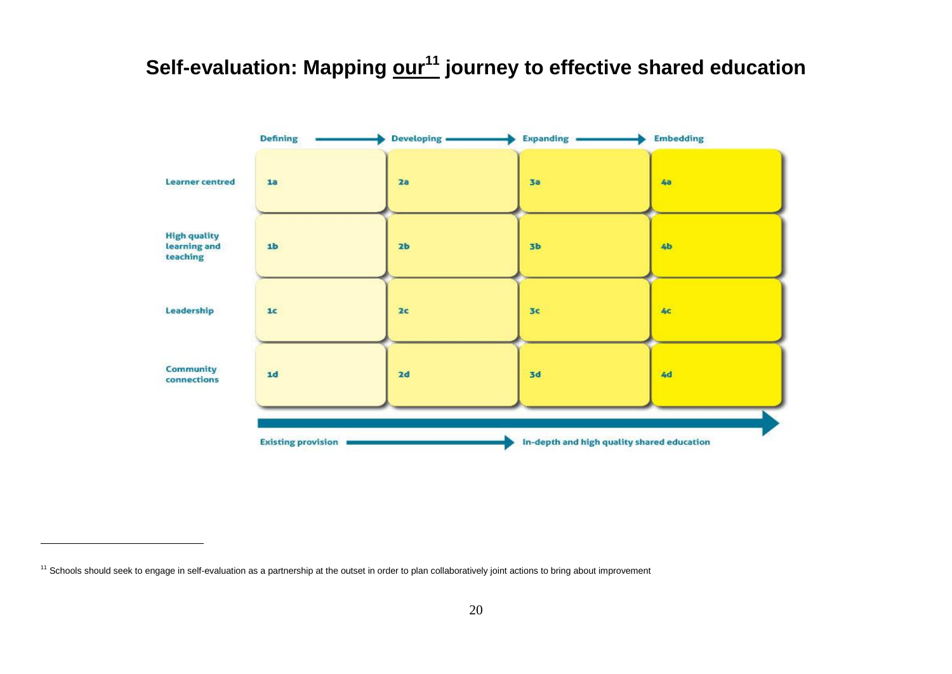## **Self-evaluation: Mapping our<sup>11</sup> journey to effective shared education**



1

<sup>&</sup>lt;sup>11</sup> Schools should seek to engage in self-evaluation as a partnership at the outset in order to plan collaboratively joint actions to bring about improvement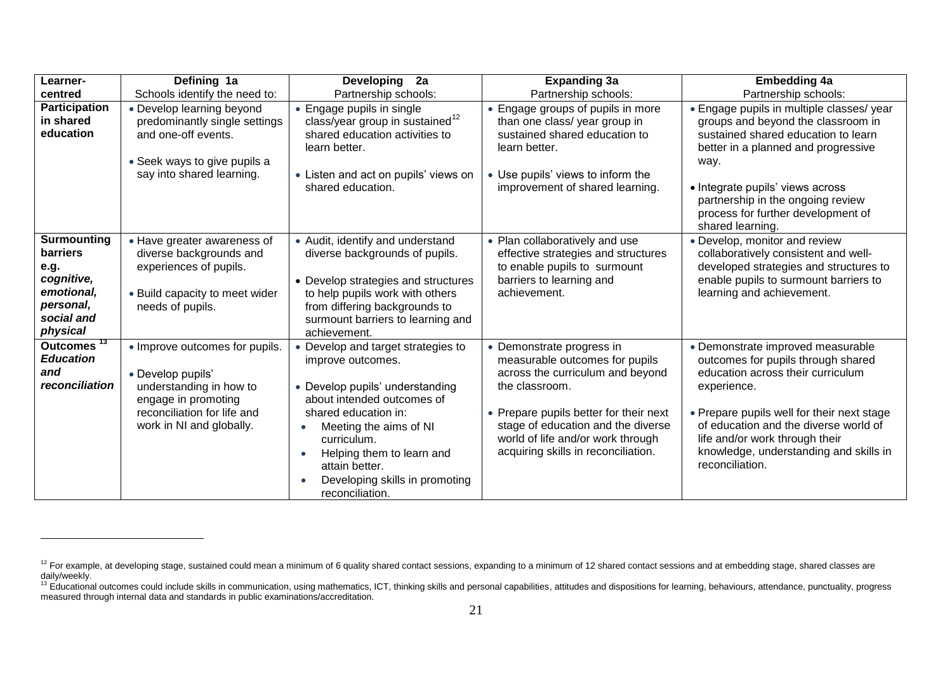| Learner-                                                                                                         | Defining 1a                                                                                                                                                      | Developing 2a                                                                                                                                                                                                                                                                                 | <b>Expanding 3a</b>                                                                                                                                                                                                                                                           | <b>Embedding 4a</b>                                                                                                                                                                                                                                                                                               |
|------------------------------------------------------------------------------------------------------------------|------------------------------------------------------------------------------------------------------------------------------------------------------------------|-----------------------------------------------------------------------------------------------------------------------------------------------------------------------------------------------------------------------------------------------------------------------------------------------|-------------------------------------------------------------------------------------------------------------------------------------------------------------------------------------------------------------------------------------------------------------------------------|-------------------------------------------------------------------------------------------------------------------------------------------------------------------------------------------------------------------------------------------------------------------------------------------------------------------|
| centred                                                                                                          | Schools identify the need to:                                                                                                                                    | Partnership schools:                                                                                                                                                                                                                                                                          | Partnership schools:                                                                                                                                                                                                                                                          | Partnership schools:                                                                                                                                                                                                                                                                                              |
| Participation<br>in shared<br>education                                                                          | • Develop learning beyond<br>predominantly single settings<br>and one-off events.<br>• Seek ways to give pupils a                                                | • Engage pupils in single<br>class/year group in sustained <sup>12</sup><br>shared education activities to<br>learn better.                                                                                                                                                                   | • Engage groups of pupils in more<br>than one class/ year group in<br>sustained shared education to<br>learn better.                                                                                                                                                          | • Engage pupils in multiple classes/ year<br>groups and beyond the classroom in<br>sustained shared education to learn<br>better in a planned and progressive<br>way.                                                                                                                                             |
|                                                                                                                  | say into shared learning.                                                                                                                                        | • Listen and act on pupils' views on<br>shared education.                                                                                                                                                                                                                                     | • Use pupils' views to inform the<br>improvement of shared learning.                                                                                                                                                                                                          | • Integrate pupils' views across<br>partnership in the ongoing review<br>process for further development of<br>shared learning.                                                                                                                                                                                   |
| <b>Surmounting</b><br><b>barriers</b><br>e.g.<br>cognitive,<br>emotional,<br>personal,<br>social and<br>physical | • Have greater awareness of<br>diverse backgrounds and<br>experiences of pupils.<br>• Build capacity to meet wider<br>needs of pupils.                           | • Audit, identify and understand<br>diverse backgrounds of pupils.<br>• Develop strategies and structures<br>to help pupils work with others<br>from differing backgrounds to<br>surmount barriers to learning and<br>achievement.                                                            | • Plan collaboratively and use<br>effective strategies and structures<br>to enable pupils to surmount<br>barriers to learning and<br>achievement.                                                                                                                             | • Develop, monitor and review<br>collaboratively consistent and well-<br>developed strategies and structures to<br>enable pupils to surmount barriers to<br>learning and achievement.                                                                                                                             |
| Outcomes <sup>13</sup><br><b>Education</b><br>and<br>reconciliation                                              | • Improve outcomes for pupils.<br>• Develop pupils'<br>understanding in how to<br>engage in promoting<br>reconciliation for life and<br>work in NI and globally. | • Develop and target strategies to<br>improve outcomes.<br>• Develop pupils' understanding<br>about intended outcomes of<br>shared education in:<br>Meeting the aims of NI<br>curriculum.<br>Helping them to learn and<br>attain better.<br>Developing skills in promoting<br>reconciliation. | • Demonstrate progress in<br>measurable outcomes for pupils<br>across the curriculum and beyond<br>the classroom.<br>• Prepare pupils better for their next<br>stage of education and the diverse<br>world of life and/or work through<br>acquiring skills in reconciliation. | • Demonstrate improved measurable<br>outcomes for pupils through shared<br>education across their curriculum<br>experience.<br>• Prepare pupils well for their next stage<br>of education and the diverse world of<br>life and/or work through their<br>knowledge, understanding and skills in<br>reconciliation. |

1

 $12$  For example, at developing stage, sustained could mean a minimum of 6 quality shared contact sessions, expanding to a minimum of 12 shared contact sessions and at embedding stage, shared classes are daily/weekly.<br><sup>13</sup> Educational outcomes could include skills in communication, using mathematics, ICT, thinking skills and personal capabilities, attitudes and dispositions for learning, behaviours, attendance, punctuality

measured through internal data and standards in public examinations/accreditation.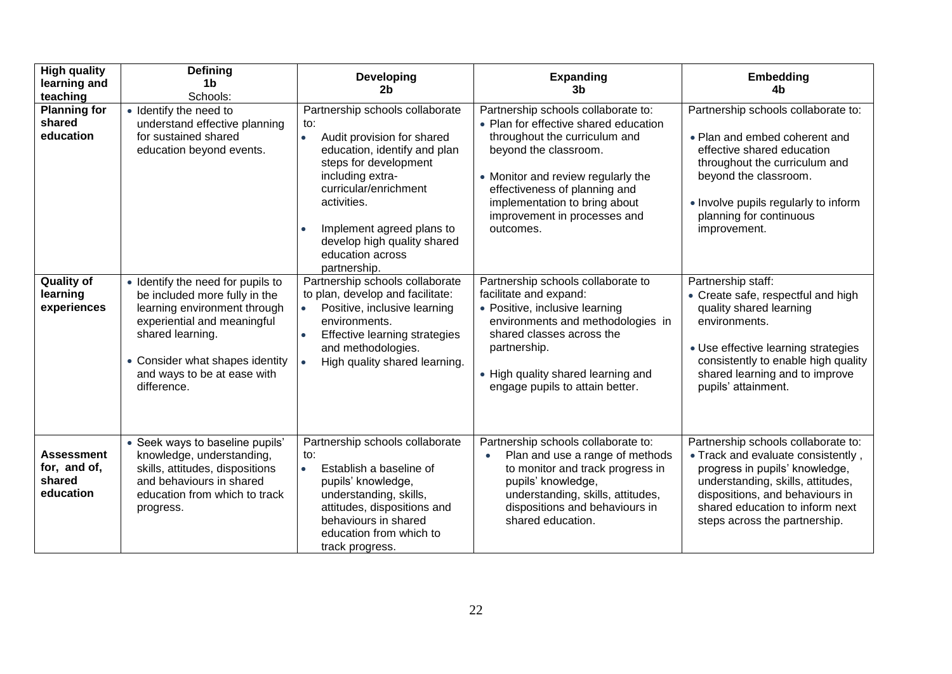| <b>High quality</b><br>learning and<br>teaching          | <b>Defining</b><br>1 <sub>b</sub><br>Schools:                                                                                                                                                                                          | <b>Developing</b><br>2 <sub>b</sub>                                                                                                                                                                                                                                                                    | <b>Expanding</b><br>3b                                                                                                                                                                                                                                                                      | <b>Embedding</b><br>4b                                                                                                                                                                                                                                  |
|----------------------------------------------------------|----------------------------------------------------------------------------------------------------------------------------------------------------------------------------------------------------------------------------------------|--------------------------------------------------------------------------------------------------------------------------------------------------------------------------------------------------------------------------------------------------------------------------------------------------------|---------------------------------------------------------------------------------------------------------------------------------------------------------------------------------------------------------------------------------------------------------------------------------------------|---------------------------------------------------------------------------------------------------------------------------------------------------------------------------------------------------------------------------------------------------------|
| <b>Planning for</b><br>shared<br>education               | • Identify the need to<br>understand effective planning<br>for sustained shared<br>education beyond events.                                                                                                                            | Partnership schools collaborate<br>to:<br>$\bullet$<br>Audit provision for shared<br>education, identify and plan<br>steps for development<br>including extra-<br>curricular/enrichment<br>activities.<br>Implement agreed plans to<br>develop high quality shared<br>education across<br>partnership. | Partnership schools collaborate to:<br>• Plan for effective shared education<br>throughout the curriculum and<br>beyond the classroom.<br>• Monitor and review regularly the<br>effectiveness of planning and<br>implementation to bring about<br>improvement in processes and<br>outcomes. | Partnership schools collaborate to:<br>• Plan and embed coherent and<br>effective shared education<br>throughout the curriculum and<br>beyond the classroom.<br>• Involve pupils regularly to inform<br>planning for continuous<br>improvement.         |
| <b>Quality of</b><br>learning<br>experiences             | • Identify the need for pupils to<br>be included more fully in the<br>learning environment through<br>experiential and meaningful<br>shared learning.<br>• Consider what shapes identity<br>and ways to be at ease with<br>difference. | Partnership schools collaborate<br>to plan, develop and facilitate:<br>Positive, inclusive learning<br>$\bullet$<br>environments.<br>Effective learning strategies<br>$\bullet$<br>and methodologies.<br>High quality shared learning.<br>$\bullet$                                                    | Partnership schools collaborate to<br>facilitate and expand:<br>• Positive, inclusive learning<br>environments and methodologies in<br>shared classes across the<br>partnership.<br>• High quality shared learning and<br>engage pupils to attain better.                                   | Partnership staff:<br>• Create safe, respectful and high<br>quality shared learning<br>environments.<br>• Use effective learning strategies<br>consistently to enable high quality<br>shared learning and to improve<br>pupils' attainment.             |
| <b>Assessment</b><br>for, and of,<br>shared<br>education | • Seek ways to baseline pupils'<br>knowledge, understanding,<br>skills, attitudes, dispositions<br>and behaviours in shared<br>education from which to track<br>progress.                                                              | Partnership schools collaborate<br>to:<br>Establish a baseline of<br>$\bullet$<br>pupils' knowledge,<br>understanding, skills,<br>attitudes, dispositions and<br>behaviours in shared<br>education from which to<br>track progress.                                                                    | Partnership schools collaborate to:<br>Plan and use a range of methods<br>to monitor and track progress in<br>pupils' knowledge,<br>understanding, skills, attitudes,<br>dispositions and behaviours in<br>shared education.                                                                | Partnership schools collaborate to:<br>. Track and evaluate consistently,<br>progress in pupils' knowledge,<br>understanding, skills, attitudes,<br>dispositions, and behaviours in<br>shared education to inform next<br>steps across the partnership. |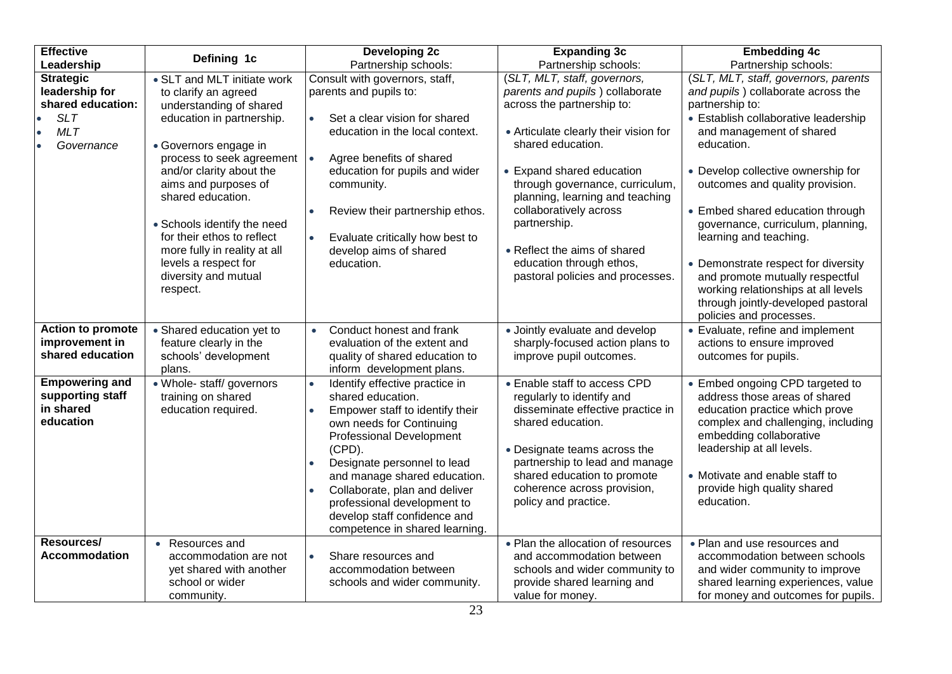| <b>Effective</b>                                                                                  | Defining 1c                                                                                                                                                                                                                                                                                                                                                                                         | Developing 2c                                                                                                                                                                                                                                                                                                                                                                                                           | <b>Expanding 3c</b>                                                                                                                                                                                                                                                                                                                                                                                       | <b>Embedding 4c</b>                                                                                                                                                                                                                                                                                                                                                                                                                                                                                                                           |
|---------------------------------------------------------------------------------------------------|-----------------------------------------------------------------------------------------------------------------------------------------------------------------------------------------------------------------------------------------------------------------------------------------------------------------------------------------------------------------------------------------------------|-------------------------------------------------------------------------------------------------------------------------------------------------------------------------------------------------------------------------------------------------------------------------------------------------------------------------------------------------------------------------------------------------------------------------|-----------------------------------------------------------------------------------------------------------------------------------------------------------------------------------------------------------------------------------------------------------------------------------------------------------------------------------------------------------------------------------------------------------|-----------------------------------------------------------------------------------------------------------------------------------------------------------------------------------------------------------------------------------------------------------------------------------------------------------------------------------------------------------------------------------------------------------------------------------------------------------------------------------------------------------------------------------------------|
| Leadership                                                                                        |                                                                                                                                                                                                                                                                                                                                                                                                     | Partnership schools:                                                                                                                                                                                                                                                                                                                                                                                                    | Partnership schools:                                                                                                                                                                                                                                                                                                                                                                                      | Partnership schools:                                                                                                                                                                                                                                                                                                                                                                                                                                                                                                                          |
| <b>Strategic</b><br>leadership for<br>shared education:<br><b>SLT</b><br><b>MLT</b><br>Governance | • SLT and MLT initiate work<br>to clarify an agreed<br>understanding of shared<br>education in partnership.<br>• Governors engage in<br>process to seek agreement<br>and/or clarity about the<br>aims and purposes of<br>shared education.<br>• Schools identify the need<br>for their ethos to reflect<br>more fully in reality at all<br>levels a respect for<br>diversity and mutual<br>respect. | Consult with governors, staff,<br>parents and pupils to:<br>Set a clear vision for shared<br>$\bullet$<br>education in the local context.<br>Agree benefits of shared<br>$\bullet$<br>education for pupils and wider<br>community.<br>Review their partnership ethos.<br>$\bullet$<br>Evaluate critically how best to<br>$\bullet$<br>develop aims of shared<br>education.                                              | (SLT, MLT, staff, governors,<br>parents and pupils ) collaborate<br>across the partnership to:<br>• Articulate clearly their vision for<br>shared education.<br>• Expand shared education<br>through governance, curriculum,<br>planning, learning and teaching<br>collaboratively across<br>partnership.<br>• Reflect the aims of shared<br>education through ethos,<br>pastoral policies and processes. | (SLT, MLT, staff, governors, parents<br>and pupils) collaborate across the<br>partnership to:<br>• Establish collaborative leadership<br>and management of shared<br>education.<br>• Develop collective ownership for<br>outcomes and quality provision.<br>• Embed shared education through<br>governance, curriculum, planning,<br>learning and teaching.<br>• Demonstrate respect for diversity<br>and promote mutually respectful<br>working relationships at all levels<br>through jointly-developed pastoral<br>policies and processes. |
| <b>Action to promote</b><br>improvement in<br>shared education                                    | • Shared education yet to<br>feature clearly in the<br>schools' development<br>plans.                                                                                                                                                                                                                                                                                                               | Conduct honest and frank<br>$\bullet$<br>evaluation of the extent and<br>quality of shared education to<br>inform development plans.                                                                                                                                                                                                                                                                                    | • Jointly evaluate and develop<br>sharply-focused action plans to<br>improve pupil outcomes.                                                                                                                                                                                                                                                                                                              | • Evaluate, refine and implement<br>actions to ensure improved<br>outcomes for pupils.                                                                                                                                                                                                                                                                                                                                                                                                                                                        |
| <b>Empowering and</b><br>supporting staff<br>in shared<br>education                               | · Whole- staff/ governors<br>training on shared<br>education required.                                                                                                                                                                                                                                                                                                                              | Identify effective practice in<br>$\bullet$<br>shared education.<br>Empower staff to identify their<br>$\bullet$<br>own needs for Continuing<br><b>Professional Development</b><br>$(CPD)$ .<br>Designate personnel to lead<br>$\bullet$<br>and manage shared education.<br>Collaborate, plan and deliver<br>$\bullet$<br>professional development to<br>develop staff confidence and<br>competence in shared learning. | • Enable staff to access CPD<br>regularly to identify and<br>disseminate effective practice in<br>shared education.<br>• Designate teams across the<br>partnership to lead and manage<br>shared education to promote<br>coherence across provision,<br>policy and practice.                                                                                                                               | • Embed ongoing CPD targeted to<br>address those areas of shared<br>education practice which prove<br>complex and challenging, including<br>embedding collaborative<br>leadership at all levels.<br>• Motivate and enable staff to<br>provide high quality shared<br>education.                                                                                                                                                                                                                                                               |
| Resources/<br><b>Accommodation</b>                                                                | • Resources and<br>accommodation are not<br>yet shared with another<br>school or wider<br>community.                                                                                                                                                                                                                                                                                                | Share resources and<br>$\bullet$<br>accommodation between<br>schools and wider community.                                                                                                                                                                                                                                                                                                                               | • Plan the allocation of resources<br>and accommodation between<br>schools and wider community to<br>provide shared learning and<br>value for money.                                                                                                                                                                                                                                                      | • Plan and use resources and<br>accommodation between schools<br>and wider community to improve<br>shared learning experiences, value<br>for money and outcomes for pupils.                                                                                                                                                                                                                                                                                                                                                                   |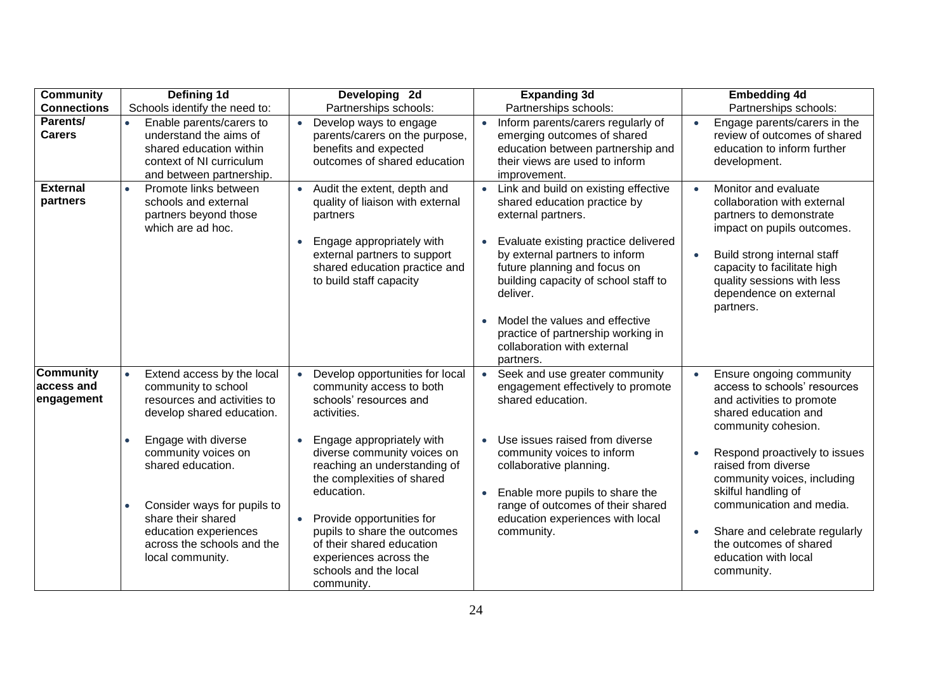| <b>Community</b>                      | Defining 1d                                                                                                                                        | Developing 2d                                                                                                                                           | <b>Expanding 3d</b>                                                                                                                                                   | <b>Embedding 4d</b>                                                                                                                  |
|---------------------------------------|----------------------------------------------------------------------------------------------------------------------------------------------------|---------------------------------------------------------------------------------------------------------------------------------------------------------|-----------------------------------------------------------------------------------------------------------------------------------------------------------------------|--------------------------------------------------------------------------------------------------------------------------------------|
| <b>Connections</b>                    | Schools identify the need to:                                                                                                                      | Partnerships schools:                                                                                                                                   | Partnerships schools:                                                                                                                                                 | Partnerships schools:                                                                                                                |
| Parents/<br><b>Carers</b>             | Enable parents/carers to<br>$\bullet$<br>understand the aims of<br>shared education within<br>context of NI curriculum<br>and between partnership. | Develop ways to engage<br>$\bullet$<br>parents/carers on the purpose,<br>benefits and expected<br>outcomes of shared education                          | Inform parents/carers regularly of<br>$\bullet$<br>emerging outcomes of shared<br>education between partnership and<br>their views are used to inform<br>improvement. | Engage parents/carers in the<br>$\bullet$<br>review of outcomes of shared<br>education to inform further<br>development.             |
| <b>External</b><br>partners           | Promote links between<br>$\bullet$<br>schools and external<br>partners beyond those<br>which are ad hoc.                                           | Audit the extent, depth and<br>quality of liaison with external<br>partners                                                                             | • Link and build on existing effective<br>shared education practice by<br>external partners.                                                                          | Monitor and evaluate<br>collaboration with external<br>partners to demonstrate<br>impact on pupils outcomes.                         |
|                                       |                                                                                                                                                    | Engage appropriately with<br>external partners to support<br>shared education practice and<br>to build staff capacity                                   | Evaluate existing practice delivered<br>by external partners to inform<br>future planning and focus on<br>building capacity of school staff to<br>deliver.            | Build strong internal staff<br>capacity to facilitate high<br>quality sessions with less<br>dependence on external<br>partners.      |
|                                       |                                                                                                                                                    |                                                                                                                                                         | Model the values and effective<br>practice of partnership working in<br>collaboration with external<br>partners.                                                      |                                                                                                                                      |
| Community<br>access and<br>engagement | Extend access by the local<br>$\bullet$<br>community to school<br>resources and activities to<br>develop shared education.                         | Develop opportunities for local<br>community access to both<br>schools' resources and<br>activities.                                                    | • Seek and use greater community<br>engagement effectively to promote<br>shared education.                                                                            | Ensure ongoing community<br>access to schools' resources<br>and activities to promote<br>shared education and<br>community cohesion. |
|                                       | Engage with diverse<br>$\bullet$<br>community voices on<br>shared education.                                                                       | Engage appropriately with<br>diverse community voices on<br>reaching an understanding of<br>the complexities of shared<br>education.                    | Use issues raised from diverse<br>$\bullet$<br>community voices to inform<br>collaborative planning.<br>Enable more pupils to share the                               | Respond proactively to issues<br>raised from diverse<br>community voices, including<br>skilful handling of                           |
|                                       | Consider ways for pupils to<br>$\bullet$<br>share their shared<br>education experiences<br>across the schools and the<br>local community.          | Provide opportunities for<br>pupils to share the outcomes<br>of their shared education<br>experiences across the<br>schools and the local<br>community. | range of outcomes of their shared<br>education experiences with local<br>community.                                                                                   | communication and media.<br>Share and celebrate regularly<br>the outcomes of shared<br>education with local<br>community.            |